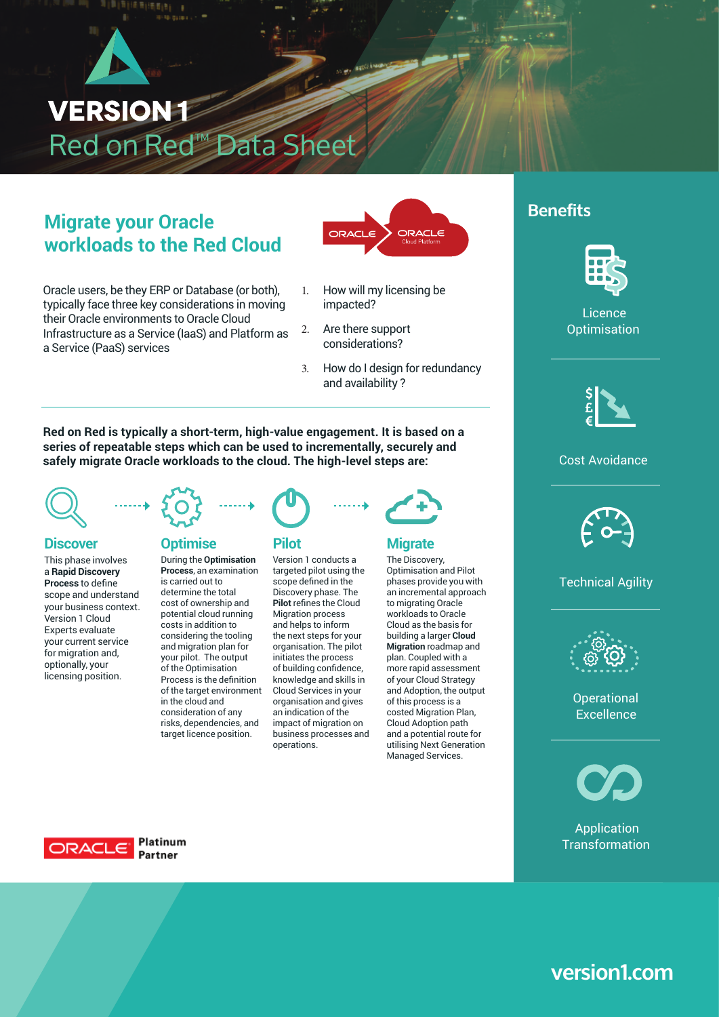# **VERSION1** Red on Red™ Data Sheet

# **Migrate your Oracle CORACLE ADDRAGLE AND BENEFITS workloads to the Red Cloud**

Oracle users, be they ERP or Database (or both), typically face three key considerations in moving their Oracle environments to Oracle Cloud Infrastructure as a Service (IaaS) and Platform as a Service (PaaS) services



- 1. How will my licensing be impacted?
- 2. Are there support considerations?
- 3. How do I design for redundancy and availability ?

**Red on Red is typically a short-term, high-value engagement. It is based on a series of repeatable steps which can be used to incrementally, securely and**  safely migrate Oracle workloads to the cloud. The high-level steps are: Licence



This phase involves a **Rapid Discovery Process** to define scope and understand your business context. Version 1 Cloud Experts evaluate your current service for migration and, optionally, your licensing position.



#### **Discover Diagnosis Optimise Rilot Optimise**

During the **Optimisation Process**, an examination is carried out to determine the total cost of ownership and text: potential cloud running costs in addition to considering the tooling and migration plan for your pilot. The output of the Optimisation Process is the definition of the target environment or the target enviror<br>in the cloud and consideration of any risks, dependencies, and target licence position.



Version 1 conducts a targeted pilot using the scope defined in the Discovery phase. The **Pilot** refines the Cloud Migration process and helps to inform the next steps for your organisation. The pilot initiates the process of building confidence, knowledge and skills in Cloud Services in your organisation and gives an indication of the impact of migration on business processes and operations.



## **Migrate**

The Discovery, Optimisation and Pilot phases provide you with an incremental approach to migrating Oracle workloads to Oracle Cloud as the basis for building a larger **Cloud Migration** roadmap and plan. Coupled with a more rapid assessment of your Cloud Strategy and Adoption, the output  $\frac{1}{\text{S}}$  is a  $\frac{1}{\text{S}}$  of this process is a  $\frac{1}{\text{S}}$  Operational  $\frac{1}{\text{S}}$  Operational Agive costed Migration Plan, Cloud Adoption path and a potential route for utilising Next Generation Managed Services.



Licence Licence Optimisation Optimisation



# **Cost Avoidance**



# on and Pilot<br>
optimisation of <mark>Technical Agility</mark> Operational Agility



Excellence operation<br>..



Application **Transformation** 



# **version1.com**